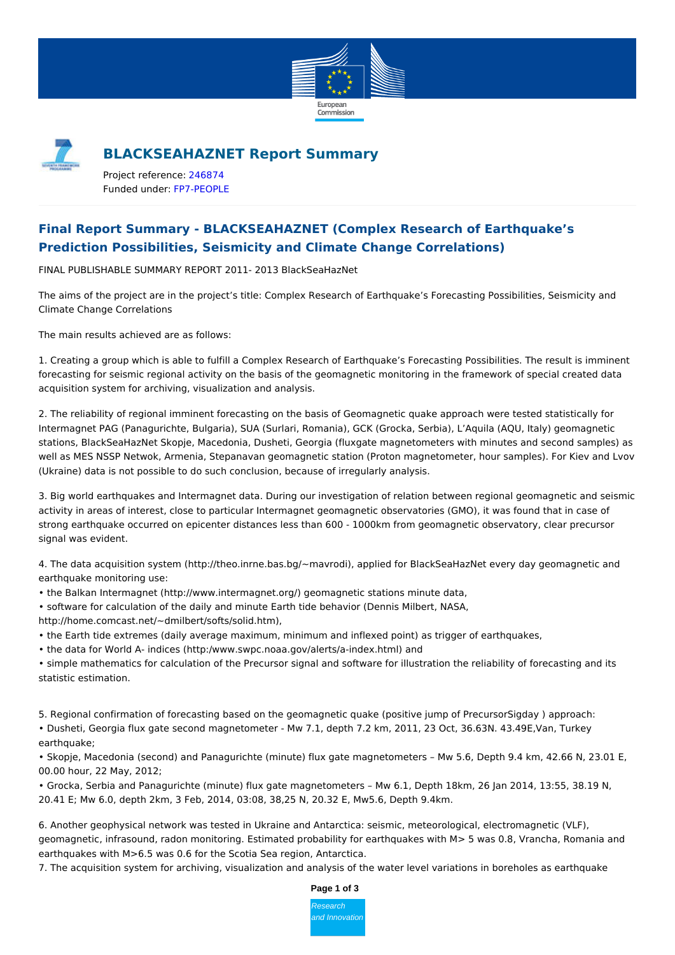



## **BLACKSEAHAZNET Report Summary**

Project reference: [246874](http://cordis.europa.eu/project/rcn/97747_en.html) Funded under: [FP7-PEOPLE](http://cordis.europa.eu/programme/rcn/848_en.html)

# **Final Report Summary - BLACKSEAHAZNET (Complex Research of Earthquake's Prediction Possibilities, Seismicity and Climate Change Correlations)**

FINAL PUBLISHABLE SUMMARY REPORT 2011- 2013 BlackSeaHazNet

The aims of the project are in the project's title: Complex Research of Earthquake's Forecasting Possibilities, Seismicity and Climate Change Correlations

The main results achieved are as follows:

1. Creating a group which is able to fulfill a Complex Research of Earthquake's Forecasting Possibilities. The result is imminent forecasting for seismic regional activity on the basis of the geomagnetic monitoring in the framework of special created data acquisition system for archiving, visualization and analysis.

2. The reliability of regional imminent forecasting on the basis of Geomagnetic quake approach were tested statistically for Intermagnet PAG (Panagurichte, Bulgaria), SUA (Surlari, Romania), GCK (Grocka, Serbia), L'Aquila (AQU, Italy) geomagnetic stations, BlackSeaHazNet Skopje, Macedonia, Dusheti, Georgia (fluxgate magnetometers with minutes and second samples) as well as MES NSSP Netwok, Armenia, Stepanavan geomagnetic station (Proton magnetometer, hour samples). For Kiev and Lvov (Ukraine) data is not possible to do such conclusion, because of irregularly analysis.

3. Big world earthquakes and Intermagnet data. During our investigation of relation between regional geomagnetic and seismic activity in areas of interest, close to particular Intermagnet geomagnetic observatories (GMO), it was found that in case of strong earthquake occurred on epicenter distances less than 600 - 1000km from geomagnetic observatory, clear precursor signal was evident.

4. The data acquisition system (http://theo.inrne.bas.bg/~mavrodi), applied for BlackSeaHazNet every day geomagnetic and earthquake monitoring use:

- the Balkan Intermagnet (http://www.intermagnet.org/) geomagnetic stations minute data,
- software for calculation of the daily and minute Earth tide behavior (Dennis Milbert, NASA,

http://home.comcast.net/~dmilbert/softs/solid.htm),

• the Earth tide extremes (daily average maximum, minimum and inflexed point) as trigger of earthquakes,

• the data for World A- indices (http:/www.swpc.noaa.gov/alerts/a-index.html) and

• simple mathematics for calculation of the Precursor signal and software for illustration the reliability of forecasting and its statistic estimation.

5. Regional confirmation of forecasting based on the geomagnetic quake (positive jump of PrecursorSigday ) approach:

• Dusheti, Georgia flux gate second magnetometer - Mw 7.1, depth 7.2 km, 2011, 23 Oct, 36.63N. 43.49E,Van, Turkey earthquake;

• Skopje, Macedonia (second) and Panagurichte (minute) flux gate magnetometers – Mw 5.6, Depth 9.4 km, 42.66 N, 23.01 E, 00.00 hour, 22 May, 2012;

• Grocka, Serbia and Panagurichte (minute) flux gate magnetometers – Mw 6.1, Depth 18km, 26 Jan 2014, 13:55, 38.19 N, 20.41 E; Mw 6.0, depth 2km, 3 Feb, 2014, 03:08, 38,25 N, 20.32 E, Mw5.6, Depth 9.4km.

6. Another geophysical network was tested in Ukraine and Antarctica: seismic, meteorological, electromagnetic (VLF), geomagnetic, infrasound, radon monitoring. Estimated probability for earthquakes with M> 5 was 0.8, Vrancha, Romania and earthquakes with M>6.5 was 0.6 for the Scotia Sea region, Antarctica.

7. The acquisition system for archiving, visualization and analysis of the water level variations in boreholes as earthquake



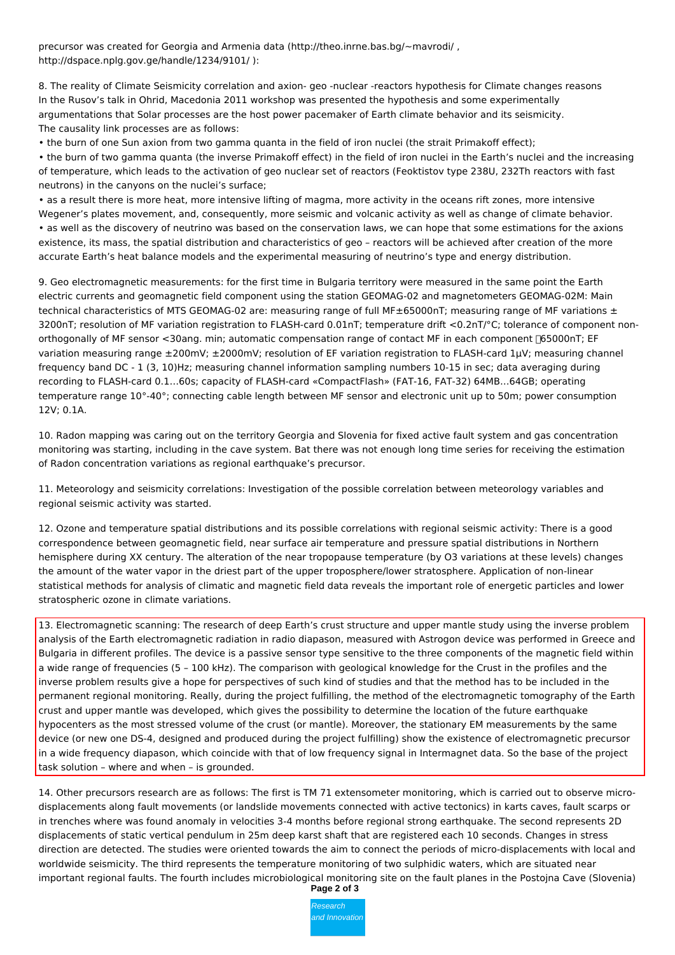precursor was created for Georgia and Armenia data (http://theo.inrne.bas.bg/~mavrodi/ , http://dspace.nplg.gov.ge/handle/1234/9101/ ):

8. The reality of Climate Seismicity correlation and axion- geo -nuclear -reactors hypothesis for Climate changes reasons In the Rusov's talk in Ohrid, Macedonia 2011 workshop was presented the hypothesis and some experimentally argumentations that Solar processes are the host power pacemaker of Earth climate behavior and its seismicity. The causality link processes are as follows:

• the burn of one Sun axion from two gamma quanta in the field of iron nuclei (the strait Primakoff effect);

• the burn of two gamma quanta (the inverse Primakoff effect) in the field of iron nuclei in the Earth's nuclei and the increasing of temperature, which leads to the activation of geo nuclear set of reactors (Feoktistov type 238U, 232Th reactors with fast neutrons) in the canyons on the nuclei's surface;

• as a result there is more heat, more intensive lifting of magma, more activity in the oceans rift zones, more intensive Wegener's plates movement, and, consequently, more seismic and volcanic activity as well as change of climate behavior. • as well as the discovery of neutrino was based on the conservation laws, we can hope that some estimations for the axions existence, its mass, the spatial distribution and characteristics of geo – reactors will be achieved after creation of the more accurate Earth's heat balance models and the experimental measuring of neutrino's type and energy distribution.

9. Geo electromagnetic measurements: for the first time in Bulgaria territory were measured in the same point the Earth electric currents and geomagnetic field component using the station GEOMAG-02 and magnetometers GEOMAG-02M: Main technical characteristics of MTS GEOMAG-02 are: measuring range of full MF $\pm$ 65000nT; measuring range of MF variations  $\pm$ 3200nT; resolution of MF variation registration to FLASH-card 0.01nT; temperature drift <0.2nT/°C; tolerance of component nonorthogonally of MF sensor <30ang. min; automatic compensation range of contact MF in each component [65000nT; EF variation measuring range ±200mV; ±2000mV; resolution of EF variation registration to FLASH-card 1µV; measuring channel frequency band DC - 1 (3, 10)Hz; measuring channel information sampling numbers 10-15 in sec; data averaging during recording to FLASH-card 0.1…60s; capacity of FLASH-card «CompactFlash» (FAT-16, FAT-32) 64MB…64GB; operating temperature range 10°-40°; connecting cable length between MF sensor and electronic unit up to 50m; power consumption 12V; 0.1A.

10. Radon mapping was caring out on the territory Georgia and Slovenia for fixed active fault system and gas concentration monitoring was starting, including in the cave system. Bat there was not enough long time series for receiving the estimation of Radon concentration variations as regional earthquake's precursor.

11. Meteorology and seismicity correlations: Investigation of the possible correlation between meteorology variables and regional seismic activity was started.

12. Ozone and temperature spatial distributions and its possible correlations with regional seismic activity: There is a good correspondence between geomagnetic field, near surface air temperature and pressure spatial distributions in Northern hemisphere during XX century. The alteration of the near tropopause temperature (by O3 variations at these levels) changes the amount of the water vapor in the driest part of the upper troposphere/lower stratosphere. Application of non-linear statistical methods for analysis of climatic and magnetic field data reveals the important role of energetic particles and lower stratospheric ozone in climate variations.

13. Electromagnetic scanning: The research of deep Earth's crust structure and upper mantle study using the inverse problem analysis of the Earth electromagnetic radiation in radio diapason, measured with Astrogon device was performed in Greece and Bulgaria in different profiles. The device is a passive sensor type sensitive to the three components of the magnetic field within a wide range of frequencies (5 – 100 kHz). The comparison with geological knowledge for the Crust in the profiles and the inverse problem results give a hope for perspectives of such kind of studies and that the method has to be included in the permanent regional monitoring. Really, during the project fulfilling, the method of the electromagnetic tomography of the Earth crust and upper mantle was developed, which gives the possibility to determine the location of the future earthquake hypocenters as the most stressed volume of the crust (or mantle). Moreover, the stationary EM measurements by the same device (or new one DS-4, designed and produced during the project fulfilling) show the existence of electromagnetic precursor in a wide frequency diapason, which coincide with that of low frequency signal in Intermagnet data. So the base of the project task solution – where and when – is grounded.

14. Other precursors research are as follows: The first is TM 71 extensometer monitoring, which is carried out to observe microdisplacements along fault movements (or landslide movements connected with active tectonics) in karts caves, fault scarps or in trenches where was found anomaly in velocities 3-4 months before regional strong earthquake. The second represents 2D displacements of static vertical pendulum in 25m deep karst shaft that are registered each 10 seconds. Changes in stress direction are detected. The studies were oriented towards the aim to connect the periods of micro-displacements with local and worldwide seismicity. The third represents the temperature monitoring of two sulphidic waters, which are situated near important regional faults. The fourth includes microbiological monitoring site on the fault planes in the Postojna Cave (Slovenia)